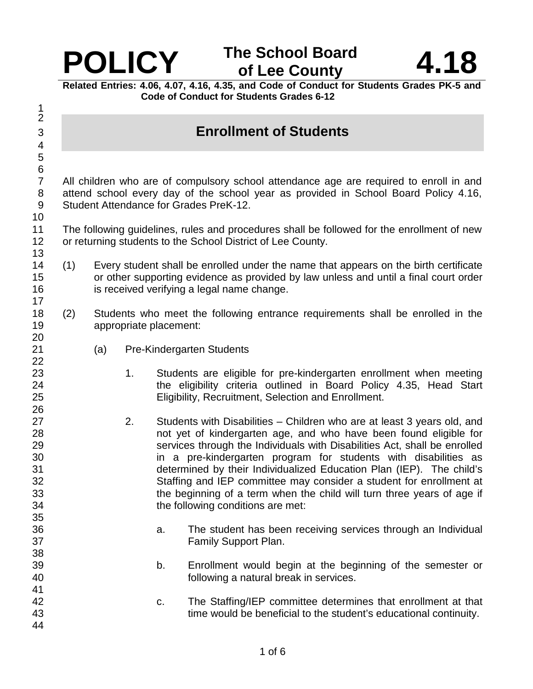

**Related Entries: 4.06, 4.07, 4.16, 4.35, and Code of Conduct for Students Grades PK-5 and Code of Conduct for Students Grades 6-12** 

3 **Enrollment of Students** 

7 All children who are of compulsory school attendance age are required to enroll in and 8 attend school every day of the school year as provided in School Board Policy 4.16, 9 Student Attendance for Grades PreK-12.

- 11 The following guidelines, rules and procedures shall be followed for the enrollment of new 12 or returning students to the School District of Lee County.
- 14 (1) Every student shall be enrolled under the name that appears on the birth certificate 15 or other supporting evidence as provided by law unless and until a final court order 16 is received verifying a legal name change.
- 18 (2) Students who meet the following entrance requirements shall be enrolled in the 19 appropriate placement:
- 21 (a) Pre-Kindergarten Students
- 23 1. Students are eligible for pre-kindergarten enrollment when meeting 24 the eligibility criteria outlined in Board Policy 4.35, Head Start 25 Eligibility, Recruitment, Selection and Enrollment.
- 27 2. Students with Disabilities Children who are at least 3 years old, and 28 not yet of kindergarten age, and who have been found eligible for 29 services through the Individuals with Disabilities Act, shall be enrolled 30 in a pre-kindergarten program for students with disabilities as 31 determined by their Individualized Education Plan (IEP). The child's 32 Staffing and IEP committee may consider a student for enrollment at 33 the beginning of a term when the child will turn three years of age if 34 the following conditions are met:
- 36 a. The student has been receiving services through an Individual 37 Family Support Plan.
- 39 b. Enrollment would begin at the beginning of the semester or 40 following a natural break in services.
- 42 c. The Staffing/IEP committee determines that enrollment at that 43 time would be beneficial to the student's educational continuity. 44

35

38

41

1 2

4 5 6

10

13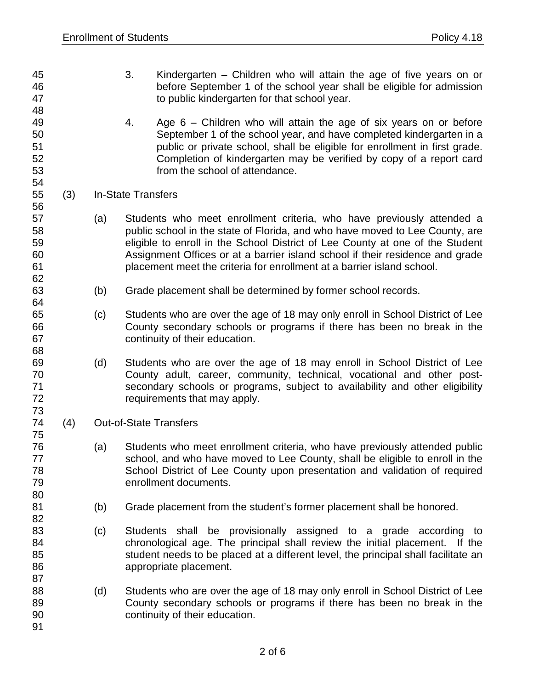- 45 3. Kindergarten Children who will attain the age of five years on or 46 before September 1 of the school year shall be eligible for admission 47 to public kindergarten for that school year. 48 49 4. Age 6 – Children who will attain the age of six years on or before 50 September 1 of the school year, and have completed kindergarten in a 51 public or private school, shall be eligible for enrollment in first grade. 52 Completion of kindergarten may be verified by copy of a report card 53 from the school of attendance. 54 55 (3) In-State Transfers 56 57 (a) Students who meet enrollment criteria, who have previously attended a 58 public school in the state of Florida, and who have moved to Lee County, are 59 eligible to enroll in the School District of Lee County at one of the Student 60 Assignment Offices or at a barrier island school if their residence and grade 61 placement meet the criteria for enrollment at a barrier island school.
- 63 (b) Grade placement shall be determined by former school records.
- 65 (c) Students who are over the age of 18 may only enroll in School District of Lee 66 County secondary schools or programs if there has been no break in the 67 continuity of their education.
- 69 (d) Students who are over the age of 18 may enroll in School District of Lee 70 County adult, career, community, technical, vocational and other post-71 secondary schools or programs, subject to availability and other eligibility 72 requirements that may apply.
- 74 (4) Out-of-State Transfers

62

64

68

73

75

80

82

87

91

- 76 (a) Students who meet enrollment criteria, who have previously attended public 77 school, and who have moved to Lee County, shall be eligible to enroll in the 78 School District of Lee County upon presentation and validation of required 79 enrollment documents.
- 81 (b) Grade placement from the student's former placement shall be honored.
- 83 (c) Students shall be provisionally assigned to a grade according to 84 chronological age. The principal shall review the initial placement. If the 85 student needs to be placed at a different level, the principal shall facilitate an 86 appropriate placement.
- 88 (d) Students who are over the age of 18 may only enroll in School District of Lee 89 County secondary schools or programs if there has been no break in the 90 continuity of their education.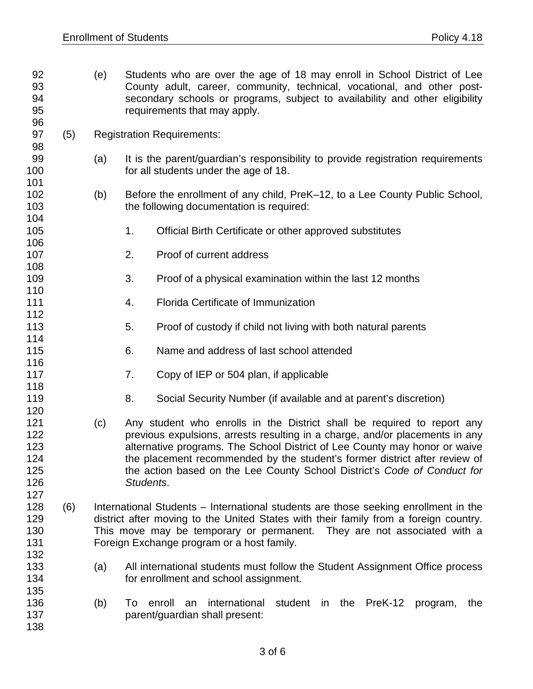- 92 (e) Students who are over the age of 18 may enroll in School District of Lee 93 County adult, career, community, technical, vocational, and other post-94 secondary schools or programs, subject to availability and other eligibility 95 requirements that may apply. 96 97 (5) Registration Requirements: 98 99 (a) It is the parent/guardian's responsibility to provide registration requirements 100 for all students under the age of 18. 101 102 (b) Before the enrollment of any child, PreK–12, to a Lee County Public School, 103 the following documentation is required: 104 105 1. Official Birth Certificate or other approved substitutes 106 107 2. Proof of current address 108 109 3. Proof of a physical examination within the last 12 months 110<br>111 4. Florida Certificate of Immunization 112 113 5. Proof of custody if child not living with both natural parents 114 115 6. Name and address of last school attended 116 117 117 7. Copy of IEP or 504 plan, if applicable 118 119 **8.** Social Security Number (if available and at parent's discretion) 120 121 (c) Any student who enrolls in the District shall be required to report any 122 **previous expulsions, arrests resulting in a charge, and/or placements in any** 123 alternative programs. The School District of Lee County may honor or waive 124 the placement recommended by the student's former district after review of 125 the action based on the Lee County School District's Code of Conduct for 126 Students. 127 128 (6) International Students – International students are those seeking enrollment in the 129 district after moving to the United States with their family from a foreign country. 130 This move may be temporary or permanent. They are not associated with a 131 Foreign Exchange program or a host family. 132 133 (a) All international students must follow the Student Assignment Office process 134 for enrollment and school assignment. 135 136 (b) To enroll an international student in the PreK-12 program, the 137 parent/guardian shall present: 138
	- 3 of 6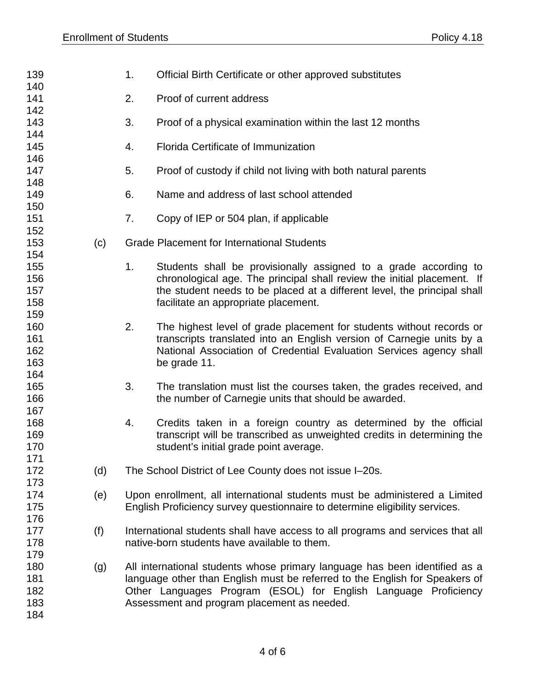| 140<br>141<br>2.<br>Proof of current address<br>142<br>143<br>3.<br>Proof of a physical examination within the last 12 months<br>144<br>145<br>Florida Certificate of Immunization<br>4.<br>146<br>147<br>5.<br>Proof of custody if child not living with both natural parents<br>148<br>149<br>Name and address of last school attended<br>6.<br>150<br>151<br>7.<br>Copy of IEP or 504 plan, if applicable<br>152<br>153<br>(c)<br><b>Grade Placement for International Students</b><br>154<br>155<br>1.<br>Students shall be provisionally assigned to a grade according to<br>156<br>chronological age. The principal shall review the initial placement. If<br>157<br>the student needs to be placed at a different level, the principal shall<br>158<br>facilitate an appropriate placement.<br>159<br>160<br>2.<br>The highest level of grade placement for students without records or<br>161<br>transcripts translated into an English version of Carnegie units by a<br>162<br>National Association of Credential Evaluation Services agency shall<br>163<br>be grade 11.<br>164<br>165<br>3.<br>The translation must list the courses taken, the grades received, and<br>166<br>the number of Carnegie units that should be awarded.<br>167<br>168<br>4.<br>Credits taken in a foreign country as determined by the official<br>transcript will be transcribed as unweighted credits in determining the<br>169<br>170<br>student's initial grade point average.<br>171<br>172<br>(d)<br>The School District of Lee County does not issue I-20s.<br>173<br>174<br>Upon enrollment, all international students must be administered a Limited<br>(e)<br>175<br>English Proficiency survey questionnaire to determine eligibility services.<br>176<br>177<br>(f)<br>International students shall have access to all programs and services that all<br>178<br>native-born students have available to them.<br>179<br>180<br>All international students whose primary language has been identified as a<br>(g)<br>181<br>language other than English must be referred to the English for Speakers of<br>182<br>Other Languages Program (ESOL) for English Language Proficiency<br>183<br>Assessment and program placement as needed.<br>184 | 139 | 1. | Official Birth Certificate or other approved substitutes |  |
|---------------------------------------------------------------------------------------------------------------------------------------------------------------------------------------------------------------------------------------------------------------------------------------------------------------------------------------------------------------------------------------------------------------------------------------------------------------------------------------------------------------------------------------------------------------------------------------------------------------------------------------------------------------------------------------------------------------------------------------------------------------------------------------------------------------------------------------------------------------------------------------------------------------------------------------------------------------------------------------------------------------------------------------------------------------------------------------------------------------------------------------------------------------------------------------------------------------------------------------------------------------------------------------------------------------------------------------------------------------------------------------------------------------------------------------------------------------------------------------------------------------------------------------------------------------------------------------------------------------------------------------------------------------------------------------------------------------------------------------------------------------------------------------------------------------------------------------------------------------------------------------------------------------------------------------------------------------------------------------------------------------------------------------------------------------------------------------------------------------------------------------------------------------------------------------------------------------------------------------------------|-----|----|----------------------------------------------------------|--|
|                                                                                                                                                                                                                                                                                                                                                                                                                                                                                                                                                                                                                                                                                                                                                                                                                                                                                                                                                                                                                                                                                                                                                                                                                                                                                                                                                                                                                                                                                                                                                                                                                                                                                                                                                                                                                                                                                                                                                                                                                                                                                                                                                                                                                                                   |     |    |                                                          |  |
|                                                                                                                                                                                                                                                                                                                                                                                                                                                                                                                                                                                                                                                                                                                                                                                                                                                                                                                                                                                                                                                                                                                                                                                                                                                                                                                                                                                                                                                                                                                                                                                                                                                                                                                                                                                                                                                                                                                                                                                                                                                                                                                                                                                                                                                   |     |    |                                                          |  |
|                                                                                                                                                                                                                                                                                                                                                                                                                                                                                                                                                                                                                                                                                                                                                                                                                                                                                                                                                                                                                                                                                                                                                                                                                                                                                                                                                                                                                                                                                                                                                                                                                                                                                                                                                                                                                                                                                                                                                                                                                                                                                                                                                                                                                                                   |     |    |                                                          |  |
|                                                                                                                                                                                                                                                                                                                                                                                                                                                                                                                                                                                                                                                                                                                                                                                                                                                                                                                                                                                                                                                                                                                                                                                                                                                                                                                                                                                                                                                                                                                                                                                                                                                                                                                                                                                                                                                                                                                                                                                                                                                                                                                                                                                                                                                   |     |    |                                                          |  |
|                                                                                                                                                                                                                                                                                                                                                                                                                                                                                                                                                                                                                                                                                                                                                                                                                                                                                                                                                                                                                                                                                                                                                                                                                                                                                                                                                                                                                                                                                                                                                                                                                                                                                                                                                                                                                                                                                                                                                                                                                                                                                                                                                                                                                                                   |     |    |                                                          |  |
|                                                                                                                                                                                                                                                                                                                                                                                                                                                                                                                                                                                                                                                                                                                                                                                                                                                                                                                                                                                                                                                                                                                                                                                                                                                                                                                                                                                                                                                                                                                                                                                                                                                                                                                                                                                                                                                                                                                                                                                                                                                                                                                                                                                                                                                   |     |    |                                                          |  |
|                                                                                                                                                                                                                                                                                                                                                                                                                                                                                                                                                                                                                                                                                                                                                                                                                                                                                                                                                                                                                                                                                                                                                                                                                                                                                                                                                                                                                                                                                                                                                                                                                                                                                                                                                                                                                                                                                                                                                                                                                                                                                                                                                                                                                                                   |     |    |                                                          |  |
|                                                                                                                                                                                                                                                                                                                                                                                                                                                                                                                                                                                                                                                                                                                                                                                                                                                                                                                                                                                                                                                                                                                                                                                                                                                                                                                                                                                                                                                                                                                                                                                                                                                                                                                                                                                                                                                                                                                                                                                                                                                                                                                                                                                                                                                   |     |    |                                                          |  |
|                                                                                                                                                                                                                                                                                                                                                                                                                                                                                                                                                                                                                                                                                                                                                                                                                                                                                                                                                                                                                                                                                                                                                                                                                                                                                                                                                                                                                                                                                                                                                                                                                                                                                                                                                                                                                                                                                                                                                                                                                                                                                                                                                                                                                                                   |     |    |                                                          |  |
|                                                                                                                                                                                                                                                                                                                                                                                                                                                                                                                                                                                                                                                                                                                                                                                                                                                                                                                                                                                                                                                                                                                                                                                                                                                                                                                                                                                                                                                                                                                                                                                                                                                                                                                                                                                                                                                                                                                                                                                                                                                                                                                                                                                                                                                   |     |    |                                                          |  |
|                                                                                                                                                                                                                                                                                                                                                                                                                                                                                                                                                                                                                                                                                                                                                                                                                                                                                                                                                                                                                                                                                                                                                                                                                                                                                                                                                                                                                                                                                                                                                                                                                                                                                                                                                                                                                                                                                                                                                                                                                                                                                                                                                                                                                                                   |     |    |                                                          |  |
|                                                                                                                                                                                                                                                                                                                                                                                                                                                                                                                                                                                                                                                                                                                                                                                                                                                                                                                                                                                                                                                                                                                                                                                                                                                                                                                                                                                                                                                                                                                                                                                                                                                                                                                                                                                                                                                                                                                                                                                                                                                                                                                                                                                                                                                   |     |    |                                                          |  |
|                                                                                                                                                                                                                                                                                                                                                                                                                                                                                                                                                                                                                                                                                                                                                                                                                                                                                                                                                                                                                                                                                                                                                                                                                                                                                                                                                                                                                                                                                                                                                                                                                                                                                                                                                                                                                                                                                                                                                                                                                                                                                                                                                                                                                                                   |     |    |                                                          |  |
|                                                                                                                                                                                                                                                                                                                                                                                                                                                                                                                                                                                                                                                                                                                                                                                                                                                                                                                                                                                                                                                                                                                                                                                                                                                                                                                                                                                                                                                                                                                                                                                                                                                                                                                                                                                                                                                                                                                                                                                                                                                                                                                                                                                                                                                   |     |    |                                                          |  |
|                                                                                                                                                                                                                                                                                                                                                                                                                                                                                                                                                                                                                                                                                                                                                                                                                                                                                                                                                                                                                                                                                                                                                                                                                                                                                                                                                                                                                                                                                                                                                                                                                                                                                                                                                                                                                                                                                                                                                                                                                                                                                                                                                                                                                                                   |     |    |                                                          |  |
|                                                                                                                                                                                                                                                                                                                                                                                                                                                                                                                                                                                                                                                                                                                                                                                                                                                                                                                                                                                                                                                                                                                                                                                                                                                                                                                                                                                                                                                                                                                                                                                                                                                                                                                                                                                                                                                                                                                                                                                                                                                                                                                                                                                                                                                   |     |    |                                                          |  |
|                                                                                                                                                                                                                                                                                                                                                                                                                                                                                                                                                                                                                                                                                                                                                                                                                                                                                                                                                                                                                                                                                                                                                                                                                                                                                                                                                                                                                                                                                                                                                                                                                                                                                                                                                                                                                                                                                                                                                                                                                                                                                                                                                                                                                                                   |     |    |                                                          |  |
|                                                                                                                                                                                                                                                                                                                                                                                                                                                                                                                                                                                                                                                                                                                                                                                                                                                                                                                                                                                                                                                                                                                                                                                                                                                                                                                                                                                                                                                                                                                                                                                                                                                                                                                                                                                                                                                                                                                                                                                                                                                                                                                                                                                                                                                   |     |    |                                                          |  |
|                                                                                                                                                                                                                                                                                                                                                                                                                                                                                                                                                                                                                                                                                                                                                                                                                                                                                                                                                                                                                                                                                                                                                                                                                                                                                                                                                                                                                                                                                                                                                                                                                                                                                                                                                                                                                                                                                                                                                                                                                                                                                                                                                                                                                                                   |     |    |                                                          |  |
|                                                                                                                                                                                                                                                                                                                                                                                                                                                                                                                                                                                                                                                                                                                                                                                                                                                                                                                                                                                                                                                                                                                                                                                                                                                                                                                                                                                                                                                                                                                                                                                                                                                                                                                                                                                                                                                                                                                                                                                                                                                                                                                                                                                                                                                   |     |    |                                                          |  |
|                                                                                                                                                                                                                                                                                                                                                                                                                                                                                                                                                                                                                                                                                                                                                                                                                                                                                                                                                                                                                                                                                                                                                                                                                                                                                                                                                                                                                                                                                                                                                                                                                                                                                                                                                                                                                                                                                                                                                                                                                                                                                                                                                                                                                                                   |     |    |                                                          |  |
|                                                                                                                                                                                                                                                                                                                                                                                                                                                                                                                                                                                                                                                                                                                                                                                                                                                                                                                                                                                                                                                                                                                                                                                                                                                                                                                                                                                                                                                                                                                                                                                                                                                                                                                                                                                                                                                                                                                                                                                                                                                                                                                                                                                                                                                   |     |    |                                                          |  |
|                                                                                                                                                                                                                                                                                                                                                                                                                                                                                                                                                                                                                                                                                                                                                                                                                                                                                                                                                                                                                                                                                                                                                                                                                                                                                                                                                                                                                                                                                                                                                                                                                                                                                                                                                                                                                                                                                                                                                                                                                                                                                                                                                                                                                                                   |     |    |                                                          |  |
|                                                                                                                                                                                                                                                                                                                                                                                                                                                                                                                                                                                                                                                                                                                                                                                                                                                                                                                                                                                                                                                                                                                                                                                                                                                                                                                                                                                                                                                                                                                                                                                                                                                                                                                                                                                                                                                                                                                                                                                                                                                                                                                                                                                                                                                   |     |    |                                                          |  |
|                                                                                                                                                                                                                                                                                                                                                                                                                                                                                                                                                                                                                                                                                                                                                                                                                                                                                                                                                                                                                                                                                                                                                                                                                                                                                                                                                                                                                                                                                                                                                                                                                                                                                                                                                                                                                                                                                                                                                                                                                                                                                                                                                                                                                                                   |     |    |                                                          |  |
|                                                                                                                                                                                                                                                                                                                                                                                                                                                                                                                                                                                                                                                                                                                                                                                                                                                                                                                                                                                                                                                                                                                                                                                                                                                                                                                                                                                                                                                                                                                                                                                                                                                                                                                                                                                                                                                                                                                                                                                                                                                                                                                                                                                                                                                   |     |    |                                                          |  |
|                                                                                                                                                                                                                                                                                                                                                                                                                                                                                                                                                                                                                                                                                                                                                                                                                                                                                                                                                                                                                                                                                                                                                                                                                                                                                                                                                                                                                                                                                                                                                                                                                                                                                                                                                                                                                                                                                                                                                                                                                                                                                                                                                                                                                                                   |     |    |                                                          |  |
|                                                                                                                                                                                                                                                                                                                                                                                                                                                                                                                                                                                                                                                                                                                                                                                                                                                                                                                                                                                                                                                                                                                                                                                                                                                                                                                                                                                                                                                                                                                                                                                                                                                                                                                                                                                                                                                                                                                                                                                                                                                                                                                                                                                                                                                   |     |    |                                                          |  |
|                                                                                                                                                                                                                                                                                                                                                                                                                                                                                                                                                                                                                                                                                                                                                                                                                                                                                                                                                                                                                                                                                                                                                                                                                                                                                                                                                                                                                                                                                                                                                                                                                                                                                                                                                                                                                                                                                                                                                                                                                                                                                                                                                                                                                                                   |     |    |                                                          |  |
|                                                                                                                                                                                                                                                                                                                                                                                                                                                                                                                                                                                                                                                                                                                                                                                                                                                                                                                                                                                                                                                                                                                                                                                                                                                                                                                                                                                                                                                                                                                                                                                                                                                                                                                                                                                                                                                                                                                                                                                                                                                                                                                                                                                                                                                   |     |    |                                                          |  |
|                                                                                                                                                                                                                                                                                                                                                                                                                                                                                                                                                                                                                                                                                                                                                                                                                                                                                                                                                                                                                                                                                                                                                                                                                                                                                                                                                                                                                                                                                                                                                                                                                                                                                                                                                                                                                                                                                                                                                                                                                                                                                                                                                                                                                                                   |     |    |                                                          |  |
|                                                                                                                                                                                                                                                                                                                                                                                                                                                                                                                                                                                                                                                                                                                                                                                                                                                                                                                                                                                                                                                                                                                                                                                                                                                                                                                                                                                                                                                                                                                                                                                                                                                                                                                                                                                                                                                                                                                                                                                                                                                                                                                                                                                                                                                   |     |    |                                                          |  |
|                                                                                                                                                                                                                                                                                                                                                                                                                                                                                                                                                                                                                                                                                                                                                                                                                                                                                                                                                                                                                                                                                                                                                                                                                                                                                                                                                                                                                                                                                                                                                                                                                                                                                                                                                                                                                                                                                                                                                                                                                                                                                                                                                                                                                                                   |     |    |                                                          |  |
|                                                                                                                                                                                                                                                                                                                                                                                                                                                                                                                                                                                                                                                                                                                                                                                                                                                                                                                                                                                                                                                                                                                                                                                                                                                                                                                                                                                                                                                                                                                                                                                                                                                                                                                                                                                                                                                                                                                                                                                                                                                                                                                                                                                                                                                   |     |    |                                                          |  |
|                                                                                                                                                                                                                                                                                                                                                                                                                                                                                                                                                                                                                                                                                                                                                                                                                                                                                                                                                                                                                                                                                                                                                                                                                                                                                                                                                                                                                                                                                                                                                                                                                                                                                                                                                                                                                                                                                                                                                                                                                                                                                                                                                                                                                                                   |     |    |                                                          |  |
|                                                                                                                                                                                                                                                                                                                                                                                                                                                                                                                                                                                                                                                                                                                                                                                                                                                                                                                                                                                                                                                                                                                                                                                                                                                                                                                                                                                                                                                                                                                                                                                                                                                                                                                                                                                                                                                                                                                                                                                                                                                                                                                                                                                                                                                   |     |    |                                                          |  |
|                                                                                                                                                                                                                                                                                                                                                                                                                                                                                                                                                                                                                                                                                                                                                                                                                                                                                                                                                                                                                                                                                                                                                                                                                                                                                                                                                                                                                                                                                                                                                                                                                                                                                                                                                                                                                                                                                                                                                                                                                                                                                                                                                                                                                                                   |     |    |                                                          |  |
|                                                                                                                                                                                                                                                                                                                                                                                                                                                                                                                                                                                                                                                                                                                                                                                                                                                                                                                                                                                                                                                                                                                                                                                                                                                                                                                                                                                                                                                                                                                                                                                                                                                                                                                                                                                                                                                                                                                                                                                                                                                                                                                                                                                                                                                   |     |    |                                                          |  |
|                                                                                                                                                                                                                                                                                                                                                                                                                                                                                                                                                                                                                                                                                                                                                                                                                                                                                                                                                                                                                                                                                                                                                                                                                                                                                                                                                                                                                                                                                                                                                                                                                                                                                                                                                                                                                                                                                                                                                                                                                                                                                                                                                                                                                                                   |     |    |                                                          |  |
|                                                                                                                                                                                                                                                                                                                                                                                                                                                                                                                                                                                                                                                                                                                                                                                                                                                                                                                                                                                                                                                                                                                                                                                                                                                                                                                                                                                                                                                                                                                                                                                                                                                                                                                                                                                                                                                                                                                                                                                                                                                                                                                                                                                                                                                   |     |    |                                                          |  |
|                                                                                                                                                                                                                                                                                                                                                                                                                                                                                                                                                                                                                                                                                                                                                                                                                                                                                                                                                                                                                                                                                                                                                                                                                                                                                                                                                                                                                                                                                                                                                                                                                                                                                                                                                                                                                                                                                                                                                                                                                                                                                                                                                                                                                                                   |     |    |                                                          |  |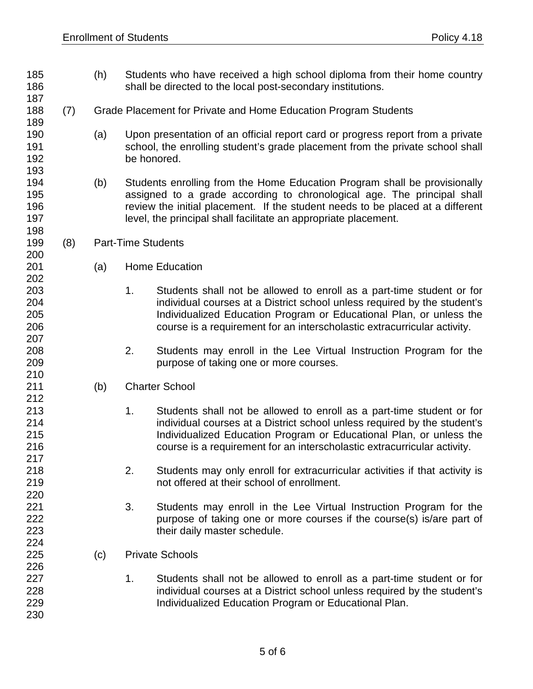187

189

193

198

200

202

207

210

212

217

220

224

226

230

- 185 (h) Students who have received a high school diploma from their home country 186 shall be directed to the local post-secondary institutions.
- 188 (7) Grade Placement for Private and Home Education Program Students
- 190 (a) Upon presentation of an official report card or progress report from a private 191 school, the enrolling student's grade placement from the private school shall 192 be honored.
- 194 (b) Students enrolling from the Home Education Program shall be provisionally 195 assigned to a grade according to chronological age. The principal shall 196 review the initial placement. If the student needs to be placed at a different 197 level, the principal shall facilitate an appropriate placement.
- 199 (8) Part-Time Students
- 201 (a) Home Education
- 203 1. Students shall not be allowed to enroll as a part-time student or for 204 individual courses at a District school unless required by the student's 205 Individualized Education Program or Educational Plan, or unless the 206 course is a requirement for an interscholastic extracurricular activity.
- 208 2. Students may enroll in the Lee Virtual Instruction Program for the 209 purpose of taking one or more courses.
- 211 (b) Charter School
- 213 1. Students shall not be allowed to enroll as a part-time student or for<br>214 1. Colling individual courses at a District school unless required by the student's individual courses at a District school unless required by the student's 215 Individualized Education Program or Educational Plan, or unless the 216 course is a requirement for an interscholastic extracurricular activity.
- 218 2. Students may only enroll for extracurricular activities if that activity is 219 not offered at their school of enrollment.
- 221 3. Students may enroll in the Lee Virtual Instruction Program for the 222 **purpose of taking one or more courses if the course(s) is/are part of** 223 their daily master schedule.
- 225 (c) Private Schools
- 227 1. Students shall not be allowed to enroll as a part-time student or for 228 individual courses at a District school unless required by the student's 229 Individualized Education Program or Educational Plan.